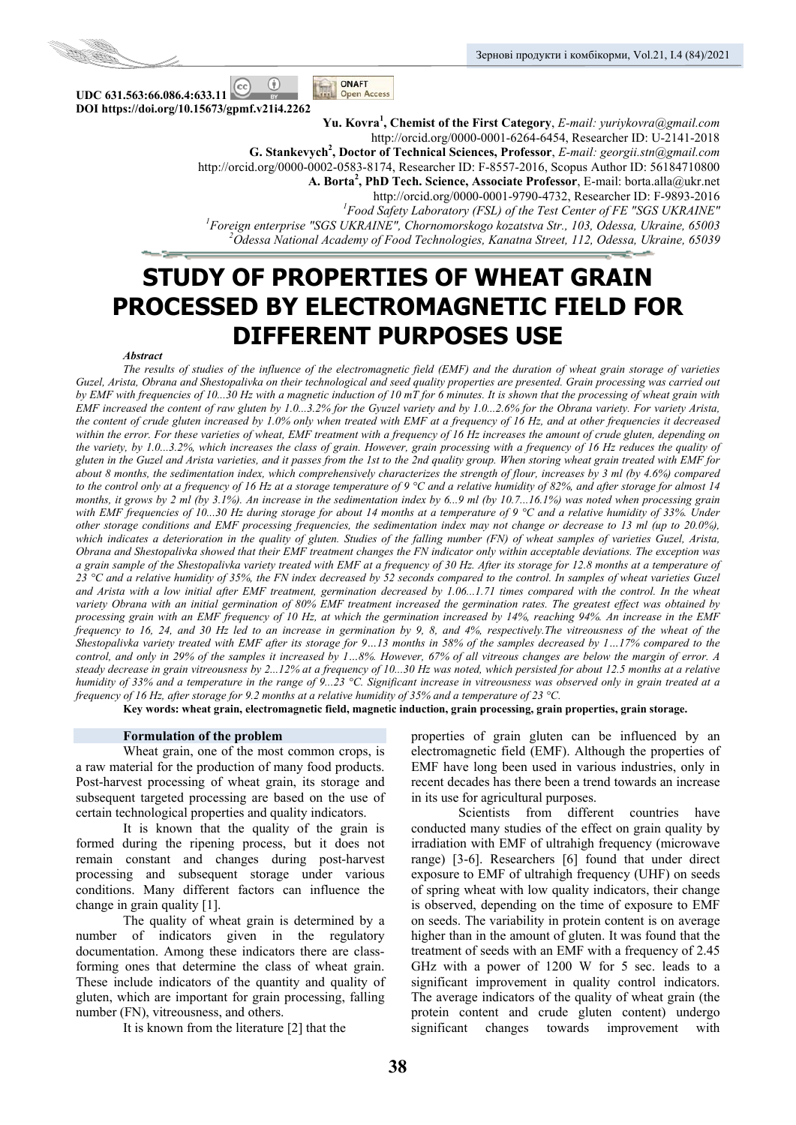

**UDC 631.563:66.086.4:633.11**   $\circ$ **DOI https://doi.org/10.15673/gpmf.v21i4.2262** 

**Yu. Kovra1 , Chemist of the First Category**, *Е-mail: yuriykovra@gmail.com* http://orcid.org/0000-0001-6264-6454, Researcher ID: U-2141-2018 **G. Stankevych<sup>2</sup> , Doctor of Technical Sciences, Professor**, *E-mail: georgii.stn@gmail.com* http://orcid.org/0000-0002-0583-8174, Researcher ID: F-8557-2016, Scopus Author ID: 56184710800 **А. Borta2 , PhD Tech. Science, Associate Professor**, Е-mail: borta.alla@ukr.net http://orcid.org/0000-0001-9790-4732, Researcher ID: F-9893-2016 *<sup>1</sup>* <sup>1</sup> Food Safety Laboratory (FSL) of the Test Center of FE "SGS UKRAINE" *Foreign enterprise "SGS UKRAINE", Chornomorskogo kozatstva Str., 103, Odessa, Ukraine, 65003 2 Odessa National Academy of Food Technologies, Kanatna Street, 112, Odessa, Ukraine, 65039* 

# **STUDY OF PROPERTIES OF WHEAT GRAIN PROCESSED BY ELECTROMAGNETIC FIELD FOR DIFFERENT PURPOSES USE**

ONAFT

**Open Access** 

#### *Abstract*

*The results of studies of the influence of the electromagnetic field (EMF) and the duration of wheat grain storage of varieties Guzel, Arista, Obrana and Shestopalivka on their technological and seed quality properties are presented. Grain processing was carried out by EMF with frequencies of 10...30 Hz with a magnetic induction of 10 mT for 6 minutes. It is shown that the processing of wheat grain with EMF increased the content of raw gluten by 1.0...3.2% for the Gyuzel variety and by 1.0...2.6% for the Obrana variety. For variety Arista, the content of crude gluten increased by 1.0% only when treated with EMF at a frequency of 16 Hz, and at other frequencies it decreased within the error. For these varieties of wheat, EMF treatment with a frequency of 16 Hz increases the amount of crude gluten, depending on the variety, by 1.0...3.2%, which increases the class of grain. However, grain processing with a frequency of 16 Hz reduces the quality of gluten in the Guzel and Arista varieties, and it passes from the 1st to the 2nd quality group. When storing wheat grain treated with EMF for about 8 months, the sedimentation index, which comprehensively characterizes the strength of flour, increases by 3 ml (by 4.6%) compared to the control only at a frequency of 16 Hz at a storage temperature of 9 °C and a relative humidity of 82%, and after storage for almost 14 months, it grows by 2 ml (by 3.1%). An increase in the sedimentation index by 6...9 ml (by 10.7...16.1%) was noted when processing grain with EMF frequencies of 10...30 Hz during storage for about 14 months at a temperature of 9 °C and a relative humidity of 33%. Under other storage conditions and EMF processing frequencies, the sedimentation index may not change or decrease to 13 ml (up to 20.0%), which indicates a deterioration in the quality of gluten. Studies of the falling number (FN) of wheat samples of varieties Guzel, Arista, Obrana and Shestopalivka showed that their EMF treatment changes the FN indicator only within acceptable deviations. The exception was a grain sample of the Shestopalivka variety treated with EMF at a frequency of 30 Hz. After its storage for 12.8 months at a temperature of 23 °C and a relative humidity of 35%, the FN index decreased by 52 seconds compared to the control. In samples of wheat varieties Guzel*  and Arista with a low initial after EMF treatment, germination decreased by 1.06...1.71 times compared with the control. In the wheat *variety Obrana with an initial germination of 80% EMF treatment increased the germination rates. The greatest effect was obtained by processing grain with an EMF frequency of 10 Hz, at which the germination increased by 14%, reaching 94%. An increase in the EMF frequency to 16, 24, and 30 Hz led to an increase in germination by 9, 8, and 4%, respectively.The vitreousness of the wheat of the Shestopalivka variety treated with EMF after its storage for 9…13 months in 58% of the samples decreased by 1…17% compared to the control, and only in 29% of the samples it increased by 1…8%. However, 67% of all vitreous changes are below the margin of error. A steady decrease in grain vitreousness by 2...12% at a frequency of 10...30 Hz was noted, which persisted for about 12.5 months at a relative humidity of 33% and a temperature in the range of 9...23 °C. Significant increase in vitreousness was observed only in grain treated at a frequency of 16 Hz, after storage for 9.2 months at a relative humidity of 35% and a temperature of 23 °C.* 

**Key words: wheat grain, electromagnetic field, magnetic induction, grain processing, grain properties, grain storage.** 

# **Formulation of the problem**

Wheat grain, one of the most common crops, is a raw material for the production of many food products. Post-harvest processing of wheat grain, its storage and subsequent targeted processing are based on the use of certain technological properties and quality indicators.

It is known that the quality of the grain is formed during the ripening process, but it does not remain constant and changes during post-harvest processing and subsequent storage under various conditions. Many different factors can influence the change in grain quality [1].

The quality of wheat grain is determined by a number of indicators given in the regulatory documentation. Among these indicators there are classforming ones that determine the class of wheat grain. These include indicators of the quantity and quality of gluten, which are important for grain processing, falling number (FN), vitreousness, and others.

It is known from the literature [2] that the

properties of grain gluten can be influenced by an electromagnetic field (EMF). Although the properties of EMF have long been used in various industries, only in recent decades has there been a trend towards an increase in its use for agricultural purposes.

Scientists from different countries have conducted many studies of the effect on grain quality by irradiation with EMF of ultrahigh frequency (microwave range) [3-6]. Researchers [6] found that under direct exposure to EMF of ultrahigh frequency (UHF) on seeds of spring wheat with low quality indicators, their change is observed, depending on the time of exposure to EMF on seeds. The variability in protein content is on average higher than in the amount of gluten. It was found that the treatment of seeds with an EMF with a frequency of 2.45 GHz with a power of 1200 W for 5 sec. leads to a significant improvement in quality control indicators. The average indicators of the quality of wheat grain (the protein content and crude gluten content) undergo significant changes towards improvement with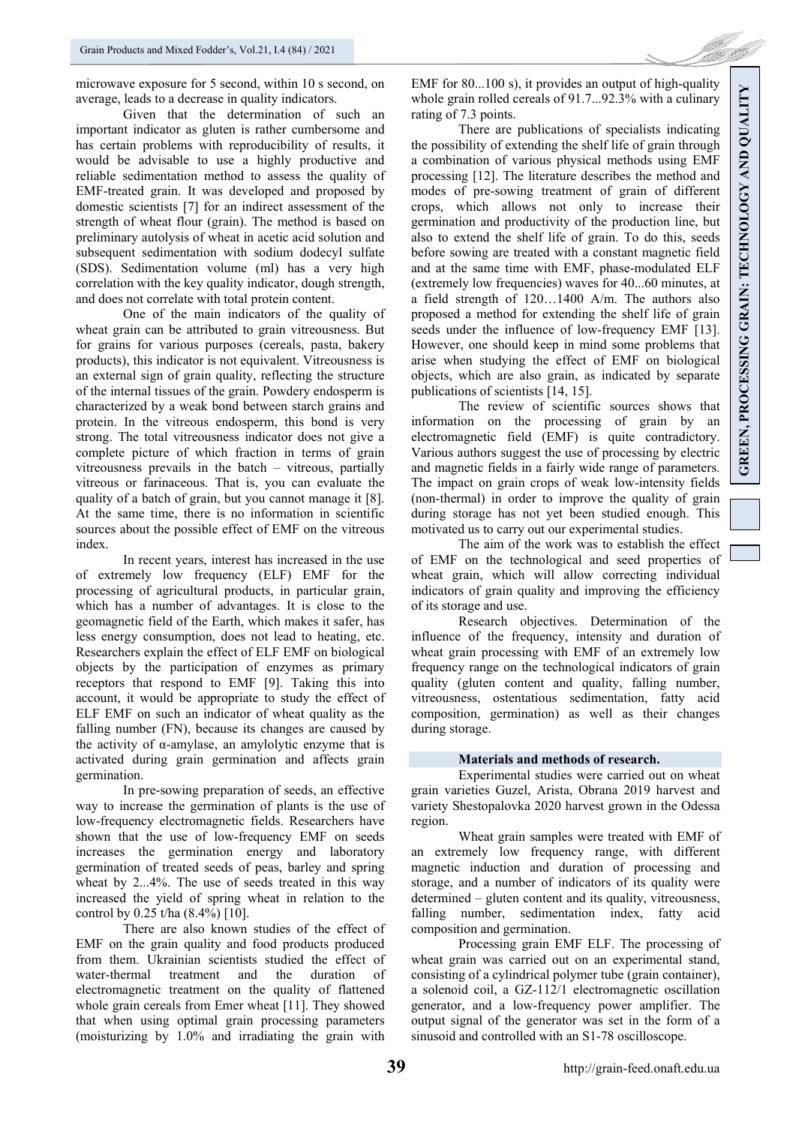microwave exposure for 5 second, within 10 s second, on average, leads to a decrease in quality indicators.

Given that the determination of such an important indicator as gluten is rather cumbersome and has certain problems with reproducibility of results, it would be advisable to use a highly productive and reliable sedimentation method to assess the quality of EMF-treated grain. It was developed and proposed by domestic scientists [7] for an indirect assessment of the strength of wheat flour (grain). The method is based on preliminary autolysis of wheat in acetic acid solution and subsequent sedimentation with sodium dodecyl sulfate (SDS). Sedimentation volume (ml) has a very high correlation with the key quality indicator, dough strength, and does not correlate with total protein content.

One of the main indicators of the quality of wheat grain can be attributed to grain vitreousness. But for grains for various purposes (cereals, pasta, bakery products), this indicator is not equivalent. Vitreousness is an external sign of grain quality, reflecting the structure of the internal tissues of the grain. Powdery endosperm is characterized by a weak bond between starch grains and protein. In the vitreous endosperm, this bond is very strong. The total vitreousness indicator does not give a complete picture of which fraction in terms of grain vitreousness prevails in the batch – vitreous, partially vitreous or farinaceous. That is, you can evaluate the quality of a batch of grain, but you cannot manage it [8]. At the same time, there is no information in scientific sources about the possible effect of EMF on the vitreous index.

In recent years, interest has increased in the use of extremely low frequency (ELF) EMF for the processing of agricultural products, in particular grain, which has a number of advantages. It is close to the geomagnetic field of the Earth, which makes it safer, has less energy consumption, does not lead to heating, etc. Researchers explain the effect of ELF EMF on biological objects by the participation of enzymes as primary receptors that respond to EMF [9]. Taking this into account, it would be appropriate to study the effect of ELF EMF on such an indicator of wheat quality as the falling number (FN), because its changes are caused by the activity of  $\alpha$ -amylase, an amylolytic enzyme that is activated during grain germination and affects grain germination.

In pre-sowing preparation of seeds, an effective way to increase the germination of plants is the use of low-frequency electromagnetic fields. Researchers have shown that the use of low-frequency EMF on seeds increases the germination energy and laboratory germination of treated seeds of peas, barley and spring wheat by 2...4%. The use of seeds treated in this way increased the yield of spring wheat in relation to the control by  $0.25$  t/ha  $(8.4\%)$  [10].

There are also known studies of the effect of EMF on the grain quality and food products produced from them. Ukrainian scientists studied the effect of water-thermal treatment and the duration of electromagnetic treatment on the quality of flattened whole grain cereals from Emer wheat [11]. They showed that when using optimal grain processing parameters (moisturizing by 1.0% and irradiating the grain with EMF for 80...100 s), it provides an output of high-quality whole grain rolled cereals of 91.7...92.3% with a culinary rating of 7.3 points.

There are publications of specialists indicating the possibility of extending the shelf life of grain through a combination of various physical methods using EMF processing [12]. The literature describes the method and modes of pre-sowing treatment of grain of different crops, which allows not only to increase their germination and productivity of the production line, but also to extend the shelf life of grain. To do this, seeds before sowing are treated with a constant magnetic field and at the same time with EMF, phase-modulated ELF (extremely low frequencies) waves for 40...60 minutes, at a field strength of 120…1400 A/m. The authors also proposed a method for extending the shelf life of grain seeds under the influence of low-frequency EMF [13]. However, one should keep in mind some problems that arise when studying the effect of EMF on biological objects, which are also grain, as indicated by separate publications of scientists [14, 15].

The review of scientific sources shows that information on the processing of grain by an electromagnetic field (EMF) is quite contradictory. Various authors suggest the use of processing by electric and magnetic fields in a fairly wide range of parameters. The impact on grain crops of weak low-intensity fields (non-thermal) in order to improve the quality of grain during storage has not yet been studied enough. This motivated us to carry out our experimental studies.

The aim of the work was to establish the effect of EMF on the technological and seed properties of wheat grain, which will allow correcting individual indicators of grain quality and improving the efficiency of its storage and use.

Research objectives. Determination of the influence of the frequency, intensity and duration of wheat grain processing with EMF of an extremely low frequency range on the technological indicators of grain quality (gluten content and quality, falling number, vitreousness, ostentatious sedimentation, fatty acid composition, germination) as well as their changes during storage.

# **Materials and methods of research.**

Experimental studies were carried out on wheat grain varieties Guzel, Arista, Obrana 2019 harvest and variety Shestopalovka 2020 harvest grown in the Odessa region.

Wheat grain samples were treated with EMF of an extremely low frequency range, with different magnetic induction and duration of processing and storage, and a number of indicators of its quality were determined – gluten content and its quality, vitreousness, falling number, sedimentation index, fatty acid composition and germination.

Processing grain EMF ELF. The processing of wheat grain was carried out on an experimental stand, consisting of a cylindrical polymer tube (grain container), a solenoid coil, a GZ-112/1 electromagnetic oscillation generator, and a low-frequency power amplifier. The output signal of the generator was set in the form of a sinusoid and controlled with an S1-78 oscilloscope.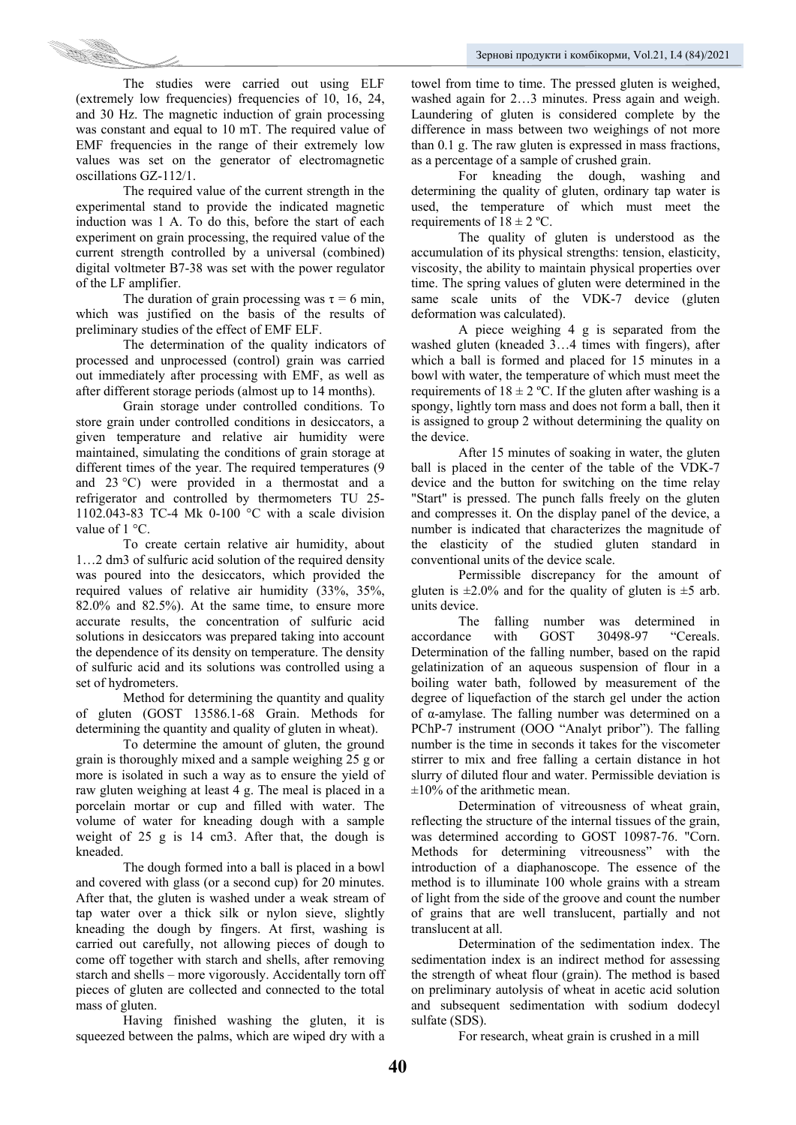

The studies were carried out using ELF (extremely low frequencies) frequencies of 10, 16, 24, and 30 Hz. The magnetic induction of grain processing was constant and equal to 10 mT. The required value of EMF frequencies in the range of their extremely low values was set on the generator of electromagnetic oscillations GZ-112/1.

The required value of the current strength in the experimental stand to provide the indicated magnetic induction was 1 A. To do this, before the start of each experiment on grain processing, the required value of the current strength controlled by a universal (combined) digital voltmeter B7-38 was set with the power regulator of the LF amplifier.

The duration of grain processing was  $\tau = 6$  min, which was justified on the basis of the results of preliminary studies of the effect of EMF ELF.

The determination of the quality indicators of processed and unprocessed (control) grain was carried out immediately after processing with EMF, as well as after different storage periods (almost up to 14 months).

Grain storage under controlled conditions. To store grain under controlled conditions in desiccators, a given temperature and relative air humidity were maintained, simulating the conditions of grain storage at different times of the year. The required temperatures (9 and 23 °C) were provided in a thermostat and a refrigerator and controlled by thermometers TU 25- 1102.043-83 TC-4 Mk 0-100 °C with a scale division value of 1 °C.

To create certain relative air humidity, about 1…2 dm3 of sulfuric acid solution of the required density was poured into the desiccators, which provided the required values of relative air humidity (33%, 35%, 82.0% and 82.5%). At the same time, to ensure more accurate results, the concentration of sulfuric acid solutions in desiccators was prepared taking into account the dependence of its density on temperature. The density of sulfuric acid and its solutions was controlled using a set of hydrometers.

Method for determining the quantity and quality of gluten (GOST 13586.1-68 Grain. Methods for determining the quantity and quality of gluten in wheat).

To determine the amount of gluten, the ground grain is thoroughly mixed and a sample weighing 25 g or more is isolated in such a way as to ensure the yield of raw gluten weighing at least 4 g. The meal is placed in a porcelain mortar or cup and filled with water. The volume of water for kneading dough with a sample weight of 25 g is 14 cm3. After that, the dough is kneaded.

The dough formed into a ball is placed in a bowl and covered with glass (or a second cup) for 20 minutes. After that, the gluten is washed under a weak stream of tap water over a thick silk or nylon sieve, slightly kneading the dough by fingers. At first, washing is carried out carefully, not allowing pieces of dough to come off together with starch and shells, after removing starch and shells – more vigorously. Accidentally torn off pieces of gluten are collected and connected to the total mass of gluten.

Having finished washing the gluten, it is squeezed between the palms, which are wiped dry with a

towel from time to time. The pressed gluten is weighed, washed again for 2…3 minutes. Press again and weigh. Laundering of gluten is considered complete by the difference in mass between two weighings of not more than 0.1 g. The raw gluten is expressed in mass fractions, as a percentage of a sample of crushed grain.

For kneading the dough, washing and determining the quality of gluten, ordinary tap water is used, the temperature of which must meet the requirements of  $18 \pm 2$  °C.

The quality of gluten is understood as the accumulation of its physical strengths: tension, elasticity, viscosity, the ability to maintain physical properties over time. The spring values of gluten were determined in the same scale units of the VDK-7 device (gluten deformation was calculated).

A piece weighing 4 g is separated from the washed gluten (kneaded 3…4 times with fingers), after which a ball is formed and placed for 15 minutes in a bowl with water, the temperature of which must meet the requirements of  $18 \pm 2$  °C. If the gluten after washing is a spongy, lightly torn mass and does not form a ball, then it is assigned to group 2 without determining the quality on the device.

After 15 minutes of soaking in water, the gluten ball is placed in the center of the table of the VDK-7 device and the button for switching on the time relay "Start" is pressed. The punch falls freely on the gluten and compresses it. On the display panel of the device, a number is indicated that characterizes the magnitude of the elasticity of the studied gluten standard in conventional units of the device scale.

Permissible discrepancy for the amount of gluten is  $\pm 2.0\%$  and for the quality of gluten is  $\pm 5$  arb. units device.

The falling number was determined in accordance with GOST 30498-97 "Cereals. Determination of the falling number, based on the rapid gelatinization of an aqueous suspension of flour in a boiling water bath, followed by measurement of the degree of liquefaction of the starch gel under the action of α-amylase. The falling number was determined on a PChP-7 instrument (OOO "Analyt pribor"). The falling number is the time in seconds it takes for the viscometer stirrer to mix and free falling a certain distance in hot slurry of diluted flour and water. Permissible deviation is  $\pm 10\%$  of the arithmetic mean.

Determination of vitreousness of wheat grain, reflecting the structure of the internal tissues of the grain, was determined according to GOST 10987-76. "Corn. Methods for determining vitreousness" with the introduction of a diaphanoscope. The essence of the method is to illuminate 100 whole grains with a stream of light from the side of the groove and count the number of grains that are well translucent, partially and not translucent at all.

Determination of the sedimentation index. The sedimentation index is an indirect method for assessing the strength of wheat flour (grain). The method is based on preliminary autolysis of wheat in acetic acid solution and subsequent sedimentation with sodium dodecyl sulfate (SDS).

For research, wheat grain is crushed in a mill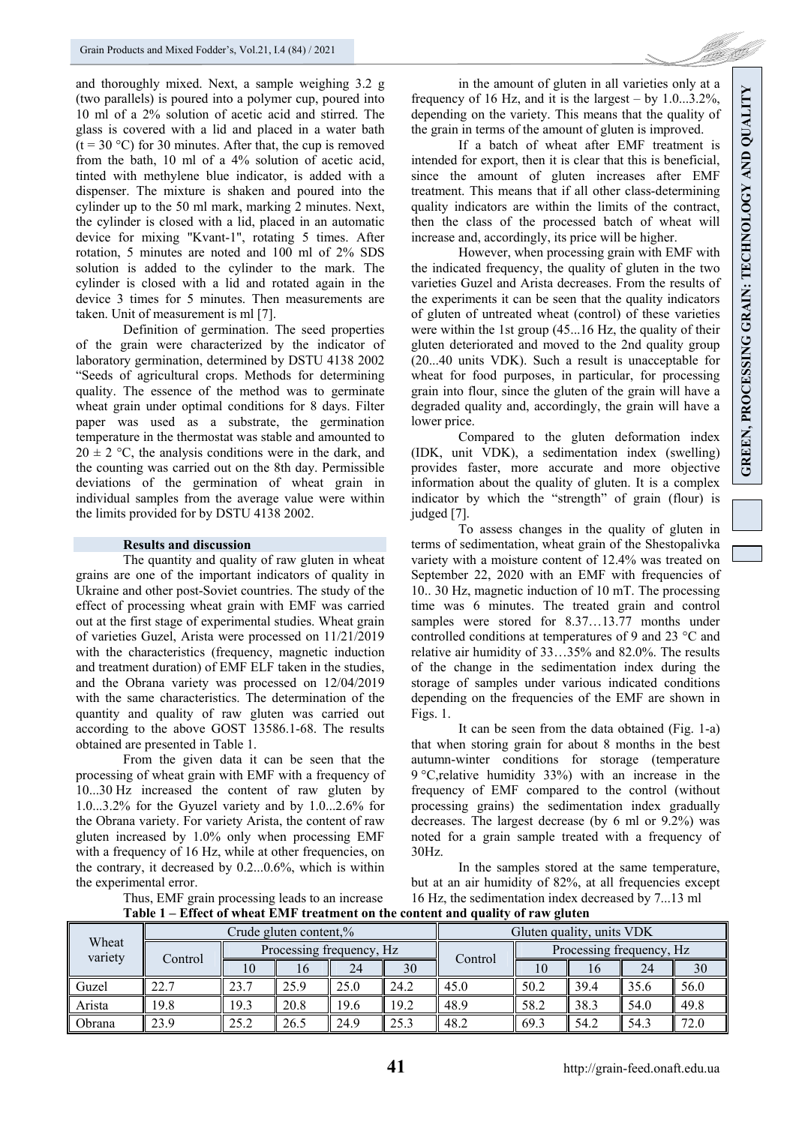and thoroughly mixed. Next, a sample weighing 3.2 g (two parallels) is poured into a polymer cup, poured into 10 ml of a 2% solution of acetic acid and stirred. The glass is covered with a lid and placed in a water bath  $(t = 30 \degree C)$  for 30 minutes. After that, the cup is removed from the bath, 10 ml of a 4% solution of acetic acid, tinted with methylene blue indicator, is added with a dispenser. The mixture is shaken and poured into the cylinder up to the 50 ml mark, marking 2 minutes. Next, the cylinder is closed with a lid, placed in an automatic device for mixing "Kvant-1", rotating 5 times. After rotation, 5 minutes are noted and 100 ml of 2% SDS solution is added to the cylinder to the mark. The cylinder is closed with a lid and rotated again in the device 3 times for 5 minutes. Then measurements are taken. Unit of measurement is ml [7].

Definition of germination. The seed properties of the grain were characterized by the indicator of laboratory germination, determined by DSTU 4138 2002 "Seeds of agricultural crops. Methods for determining quality. The essence of the method was to germinate wheat grain under optimal conditions for 8 days. Filter paper was used as a substrate, the germination temperature in the thermostat was stable and amounted to  $20 \pm 2$  °C, the analysis conditions were in the dark, and the counting was carried out on the 8th day. Permissible deviations of the germination of wheat grain in individual samples from the average value were within the limits provided for by DSTU 4138 2002.

### **Results and discussion**

The quantity and quality of raw gluten in wheat grains are one of the important indicators of quality in Ukraine and other post-Soviet countries. The study of the effect of processing wheat grain with EMF was carried out at the first stage of experimental studies. Wheat grain of varieties Guzel, Arista were processed on 11/21/2019 with the characteristics (frequency, magnetic induction and treatment duration) of EMF ELF taken in the studies, and the Obrana variety was processed on 12/04/2019 with the same characteristics. The determination of the quantity and quality of raw gluten was carried out according to the above GOST 13586.1-68. The results obtained are presented in Table 1.

From the given data it can be seen that the processing of wheat grain with EMF with a frequency of 10...30 Hz increased the content of raw gluten by 1.0...3.2% for the Gyuzel variety and by 1.0...2.6% for the Obrana variety. For variety Arista, the content of raw gluten increased by 1.0% only when processing EMF with a frequency of 16 Hz, while at other frequencies, on the contrary, it decreased by 0.2...0.6%, which is within the experimental error.

Thus, EMF grain processing leads to an increase

in the amount of gluten in all varieties only at a frequency of 16 Hz, and it is the largest – by 1.0...3.2%, depending on the variety. This means that the quality of the grain in terms of the amount of gluten is improved.

If a batch of wheat after EMF treatment is intended for export, then it is clear that this is beneficial, since the amount of gluten increases after EMF treatment. This means that if all other class-determining quality indicators are within the limits of the contract, then the class of the processed batch of wheat will increase and, accordingly, its price will be higher.

However, when processing grain with EMF with the indicated frequency, the quality of gluten in the two varieties Guzel and Arista decreases. From the results of the experiments it can be seen that the quality indicators of gluten of untreated wheat (control) of these varieties were within the 1st group (45...16 Hz, the quality of their gluten deteriorated and moved to the 2nd quality group (20...40 units VDK). Such a result is unacceptable for wheat for food purposes, in particular, for processing grain into flour, since the gluten of the grain will have a degraded quality and, accordingly, the grain will have a lower price.

Compared to the gluten deformation index (IDK, unit VDK), a sedimentation index (swelling) provides faster, more accurate and more objective information about the quality of gluten. It is a complex indicator by which the "strength" of grain (flour) is judged [7].

To assess changes in the quality of gluten in terms of sedimentation, wheat grain of the Shestopalivka variety with a moisture content of 12.4% was treated on September 22, 2020 with an EMF with frequencies of 10.. 30 Hz, magnetic induction of 10 mT. The processing time was 6 minutes. The treated grain and control samples were stored for 8.37…13.77 months under controlled conditions at temperatures of 9 and 23 °C and relative air humidity of 33…35% and 82.0%. The results of the change in the sedimentation index during the storage of samples under various indicated conditions depending on the frequencies of the EMF are shown in Figs. 1.

It can be seen from the data obtained (Fig. 1-a) that when storing grain for about 8 months in the best autumn-winter conditions for storage (temperature 9 °C,relative humidity 33%) with an increase in the frequency of EMF compared to the control (without processing grains) the sedimentation index gradually decreases. The largest decrease (by 6 ml or 9.2%) was noted for a grain sample treated with a frequency of 30Hz.

In the samples stored at the same temperature, but at an air humidity of 82%, at all frequencies except 16 Hz, the sedimentation index decreased by 7...13 ml

**Table 1 – Effect of wheat EMF treatment on the content and quality of raw gluten** 

| Wheat<br>variety |         | Gluten quality, units VDK |      |      |      |         |                          |      |      |      |  |
|------------------|---------|---------------------------|------|------|------|---------|--------------------------|------|------|------|--|
|                  | Control | Processing frequency, Hz  |      |      |      |         | Processing frequency, Hz |      |      |      |  |
|                  |         | 10                        | 16   | 24   | 30   | Control |                          | 16   | 24   | 30   |  |
| Guzel            | 22.7    | 23.7                      | 25.9 | 25.0 | 24.2 | 45.0    | 50.2                     | 39.4 | 35.6 | 56.0 |  |
| Arista           | 19.8    | 19.3                      | 20.8 | 19.6 | 19.2 | 48.9    | 58.2                     | 38.3 | 54.0 | 49.8 |  |
| Obrana           | 23.9    | 25.2                      | 26.5 | 24.9 | 25.3 | 48.2    | 69.3                     | 54.2 | 54.3 | 72.0 |  |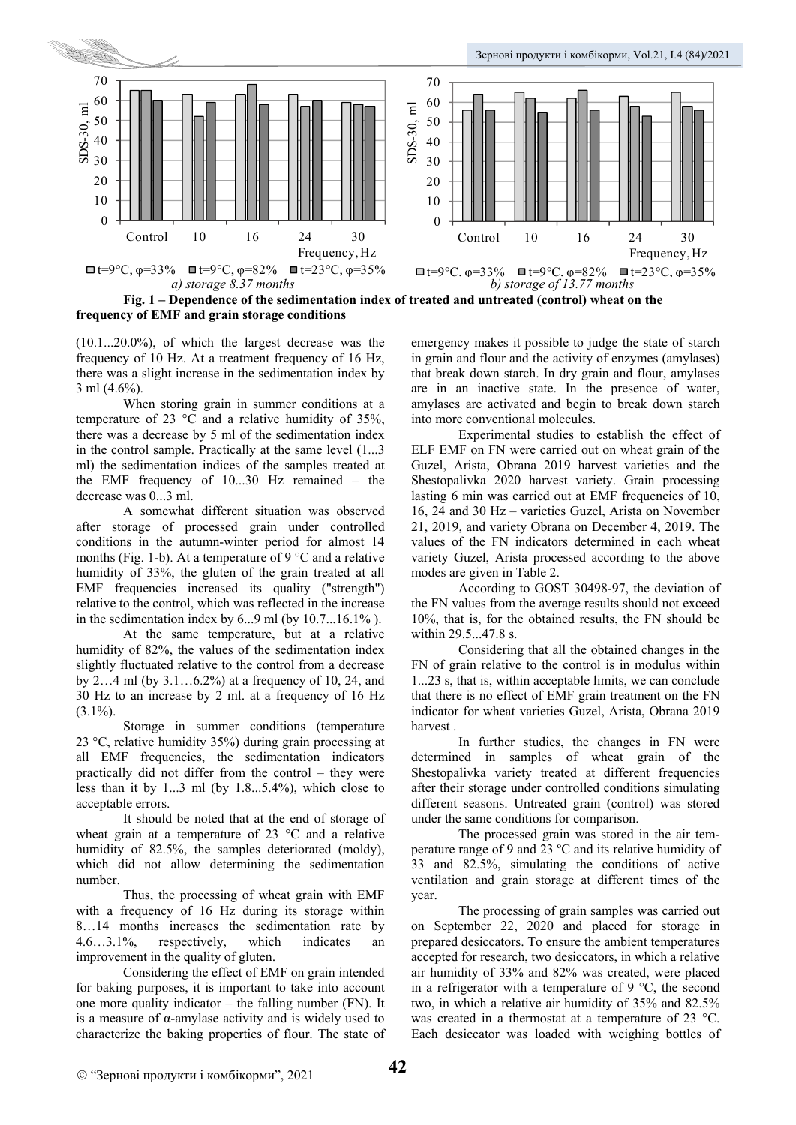

**Fig. 1 – Dependence of the sedimentation index of treated and untreated (control) wheat on the frequency of EMF and grain storage conditions** 

(10.1...20.0%), of which the largest decrease was the frequency of 10 Hz. At a treatment frequency of 16 Hz, there was a slight increase in the sedimentation index by 3 ml (4.6%).

When storing grain in summer conditions at a temperature of 23 °C and a relative humidity of 35%, there was a decrease by 5 ml of the sedimentation index in the control sample. Practically at the same level (1...3 ml) the sedimentation indices of the samples treated at the EMF frequency of 10...30 Hz remained – the decrease was 0...3 ml.

A somewhat different situation was observed after storage of processed grain under controlled conditions in the autumn-winter period for almost 14 months (Fig. 1-b). At a temperature of 9  $\degree$ C and a relative humidity of 33%, the gluten of the grain treated at all EMF frequencies increased its quality ("strength") relative to the control, which was reflected in the increase in the sedimentation index by  $6...9$  ml (by  $10.7...16.1\%$ ).

At the same temperature, but at a relative humidity of 82%, the values of the sedimentation index slightly fluctuated relative to the control from a decrease by 2…4 ml (by 3.1…6.2%) at a frequency of 10, 24, and 30 Hz to an increase by 2 ml. at a frequency of 16 Hz  $(3.1\%)$ .

Storage in summer conditions (temperature 23 °C, relative humidity 35%) during grain processing at all EMF frequencies, the sedimentation indicators practically did not differ from the control – they were less than it by 1...3 ml (by 1.8...5.4%), which close to acceptable errors.

It should be noted that at the end of storage of wheat grain at a temperature of 23 °C and a relative humidity of 82.5%, the samples deteriorated (moldy), which did not allow determining the sedimentation number.

Thus, the processing of wheat grain with EMF with a frequency of 16 Hz during its storage within 8…14 months increases the sedimentation rate by 4.6…3.1%, respectively, which indicates an improvement in the quality of gluten.

Considering the effect of EMF on grain intended for baking purposes, it is important to take into account one more quality indicator – the falling number (FN). It is a measure of α-amylase activity and is widely used to characterize the baking properties of flour. The state of emergency makes it possible to judge the state of starch in grain and flour and the activity of enzymes (amylases) that break down starch. In dry grain and flour, amylases are in an inactive state. In the presence of water, amylases are activated and begin to break down starch into more conventional molecules.

Experimental studies to establish the effect of ELF EMF on FN were carried out on wheat grain of the Guzel, Arista, Obrana 2019 harvest varieties and the Shestopalivka 2020 harvest variety. Grain processing lasting 6 min was carried out at EMF frequencies of 10, 16, 24 and 30 Hz – varieties Guzel, Arista on November 21, 2019, and variety Obrana on December 4, 2019. The values of the FN indicators determined in each wheat variety Guzel, Arista processed according to the above modes are given in Table 2.

According to GOST 30498-97, the deviation of the FN values from the average results should not exceed 10%, that is, for the obtained results, the FN should be within 29.5...47.8 s.

Considering that all the obtained changes in the FN of grain relative to the control is in modulus within 1...23 s, that is, within acceptable limits, we can conclude that there is no effect of EMF grain treatment on the FN indicator for wheat varieties Guzel, Arista, Obrana 2019 harvest .

In further studies, the changes in FN were determined in samples of wheat grain of the Shestopalivka variety treated at different frequencies after their storage under controlled conditions simulating different seasons. Untreated grain (control) was stored under the same conditions for comparison.

The processed grain was stored in the air temperature range of 9 and 23 ºС and its relative humidity of 33 and 82.5%, simulating the conditions of active ventilation and grain storage at different times of the year.

The processing of grain samples was carried out on September 22, 2020 and placed for storage in prepared desiccators. To ensure the ambient temperatures accepted for research, two desiccators, in which a relative air humidity of 33% and 82% was created, were placed in a refrigerator with a temperature of 9  $\degree$ C, the second two, in which a relative air humidity of 35% and 82.5% was created in a thermostat at a temperature of 23 °C. Each desiccator was loaded with weighing bottles of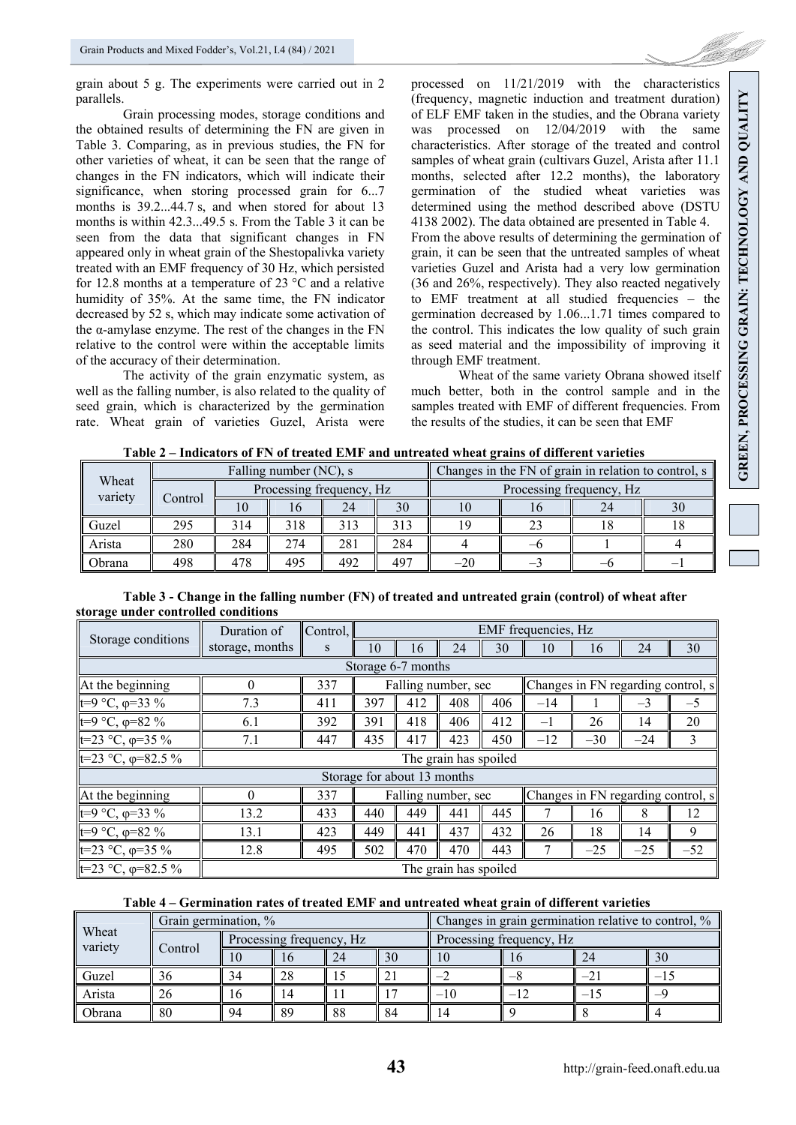

grain about 5 g. The experiments were carried out in 2 parallels.

Grain processing modes, storage conditions and the obtained results of determining the FN are given in Table 3. Comparing, as in previous studies, the FN for other varieties of wheat, it can be seen that the range of changes in the FN indicators, which will indicate their significance, when storing processed grain for 6...7 months is 39.2...44.7 s, and when stored for about 13 months is within 42.3...49.5 s. From the Table 3 it can be seen from the data that significant changes in FN appeared only in wheat grain of the Shestopalivka variety treated with an EMF frequency of 30 Hz, which persisted for 12.8 months at a temperature of 23 °C and a relative humidity of 35%. At the same time, the FN indicator decreased by 52 s, which may indicate some activation of the α-amylase enzyme. The rest of the changes in the FN relative to the control were within the acceptable limits of the accuracy of their determination.

The activity of the grain enzymatic system, as well as the falling number, is also related to the quality of seed grain, which is characterized by the germination rate. Wheat grain of varieties Guzel, Arista were processed on 11/21/2019 with the characteristics (frequency, magnetic induction and treatment duration) of ELF EMF taken in the studies, and the Obrana variety was processed on 12/04/2019 with the same characteristics. After storage of the treated and control samples of wheat grain (cultivars Guzel, Arista after 11.1 months, selected after 12.2 months), the laboratory germination of the studied wheat varieties was determined using the method described above (DSTU 4138 2002). The data obtained are presented in Table 4. From the above results of determining the germination of grain, it can be seen that the untreated samples of wheat varieties Guzel and Arista had a very low germination (36 and 26%, respectively). They also reacted negatively to EMF treatment at all studied frequencies – the germination decreased by 1.06...1.71 times compared to the control. This indicates the low quality of such grain as seed material and the impossibility of improving it through EMF treatment.

Wheat of the same variety Obrana showed itself much better, both in the control sample and in the samples treated with EMF of different frequencies. From the results of the studies, it can be seen that EMF

**Table 2 – Indicators of FN of treated EMF and untreated wheat grains of different varieties** 

| Wheat<br>variety |         |     | Falling number (NC), s   |     |     | Changes in the FN of grain in relation to control, s |  |  |    |  |  |
|------------------|---------|-----|--------------------------|-----|-----|------------------------------------------------------|--|--|----|--|--|
|                  | Control |     | Processing frequency, Hz |     |     | Processing frequency, Hz                             |  |  |    |  |  |
|                  |         |     |                          | 24  | 30  |                                                      |  |  | 30 |  |  |
| Guzel            | 295     | 314 | 318                      | 313 | 313 |                                                      |  |  |    |  |  |
| Arista           | 280     | 284 | 274                      | 281 | 284 |                                                      |  |  |    |  |  |
| Obrana           | 498     | 478 | 495                      | 492 | 497 | -20                                                  |  |  |    |  |  |

| Table 3 - Change in the falling number (FN) of treated and untreated grain (control) of wheat after |  |
|-----------------------------------------------------------------------------------------------------|--|
| storage under controlled conditions                                                                 |  |

|                              | Duration of           | Control,                                                           | EMF frequencies, Hz |                             |     |     |       |       |       |                                      |  |
|------------------------------|-----------------------|--------------------------------------------------------------------|---------------------|-----------------------------|-----|-----|-------|-------|-------|--------------------------------------|--|
| Storage conditions           | storage, months       | S                                                                  | 10                  | 16                          | 24  | 30  | 10    | 16    | 24    | 30                                   |  |
|                              |                       |                                                                    |                     | Storage 6-7 months          |     |     |       |       |       |                                      |  |
| At the beginning             | $\Omega$              | Changes in FN regarding control, $s$<br>337<br>Falling number, sec |                     |                             |     |     |       |       |       |                                      |  |
| t=9 °C, $\varphi$ =33 %      | 7.3                   | 411                                                                | 397                 | 412                         | 408 | 406 | $-14$ |       | $-3$  | $-5$                                 |  |
| $t=9$ °C, $\varphi=82$ %     | 6.1                   | 392                                                                | 391                 | 418                         | 406 | 412 | $-1$  | 26    | 14    | 20                                   |  |
| $ t=23$ °C, $\varphi=35$ %   | 7.1                   | 447                                                                | 435                 | 417                         | 423 | 450 | $-12$ | $-30$ | $-24$ | 3                                    |  |
| $ t=23$ °C, $\varphi=82.5$ % | The grain has spoiled |                                                                    |                     |                             |     |     |       |       |       |                                      |  |
|                              |                       |                                                                    |                     | Storage for about 13 months |     |     |       |       |       |                                      |  |
| At the beginning             | $\Omega$              | 337                                                                |                     | Falling number, sec         |     |     |       |       |       | Changes in FN regarding control, $s$ |  |
| t=9 °C, $\varphi$ =33 %      | 13.2                  | 433                                                                | 440                 | 449                         | 441 | 445 |       | 16    | 8     | 12                                   |  |
| $t=9$ °C, $\varphi=82$ %     | 13.1                  | 423                                                                | 449                 | 441                         | 437 | 432 | 26    | 18    | 14    | 9                                    |  |
| $ t=23$ °C, $\varphi=35$ %   | 12.8                  | 495                                                                | 502                 | 470                         | 470 | 443 | 7     | $-25$ | $-25$ | $-52$                                |  |
| $ t=23$ °C, $\varphi=82.5$ % | The grain has spoiled |                                                                    |                     |                             |     |     |       |       |       |                                      |  |

# **Table 4 – Germination rates of treated EMF and untreated wheat grain of different varieties**

| Wheat<br>variety | Grain germination, % |                          |    |    |    | Changes in grain germination relative to control, % |  |  |    |  |  |
|------------------|----------------------|--------------------------|----|----|----|-----------------------------------------------------|--|--|----|--|--|
|                  | Control              | Processing frequency, Hz |    |    |    | Processing frequency, Hz                            |  |  |    |  |  |
|                  |                      |                          |    | 24 | 30 |                                                     |  |  | 30 |  |  |
| Guzel            | 36                   |                          | 28 |    | ∠  |                                                     |  |  | —  |  |  |
| Arista           | 26                   |                          |    |    |    | $-10$                                               |  |  |    |  |  |
| Obrana           | 80                   | 94                       | 89 | 88 | 84 |                                                     |  |  |    |  |  |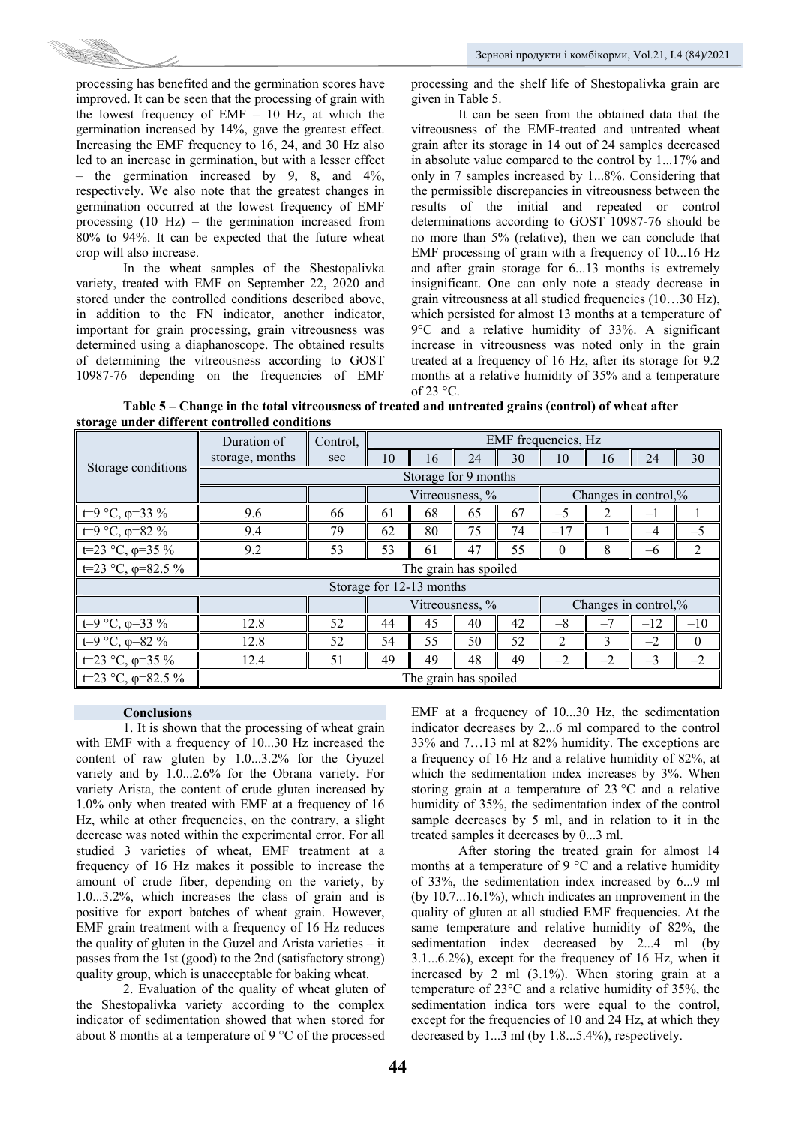

processing has benefited and the germination scores have improved. It can be seen that the processing of grain with the lowest frequency of EMF – 10 Hz, at which the germination increased by 14%, gave the greatest effect. Increasing the EMF frequency to 16, 24, and 30 Hz also led to an increase in germination, but with a lesser effect – the germination increased by 9, 8, and  $4\%$ , respectively. We also note that the greatest changes in germination occurred at the lowest frequency of EMF processing (10 Hz) – the germination increased from 80% to 94%. It can be expected that the future wheat crop will also increase.

In the wheat samples of the Shestopalivka variety, treated with EMF on September 22, 2020 and stored under the controlled conditions described above, in addition to the FN indicator, another indicator, important for grain processing, grain vitreousness was determined using a diaphanoscope. The obtained results of determining the vitreousness according to GOST 10987-76 depending on the frequencies of EMF

processing and the shelf life of Shestopalivka grain are given in Table 5.

It can be seen from the obtained data that the vitreousness of the EMF-treated and untreated wheat grain after its storage in 14 out of 24 samples decreased in absolute value compared to the control by 1...17% and only in 7 samples increased by 1...8%. Considering that the permissible discrepancies in vitreousness between the results of the initial and repeated or control determinations according to GOST 10987-76 should be no more than 5% (relative), then we can conclude that EMF processing of grain with a frequency of 10...16 Hz and after grain storage for 6...13 months is extremely insignificant. One can only note a steady decrease in grain vitreousness at all studied frequencies (10…30 Hz), which persisted for almost 13 months at a temperature of 9°C and a relative humidity of 33%. A significant increase in vitreousness was noted only in the grain treated at a frequency of 16 Hz, after its storage for 9.2 months at a relative humidity of 35% and a temperature of  $23^{\circ}$ C.

**Table 5 – Change in the total vitreousness of treated and untreated grains (control) of wheat after storage under different controlled conditions** 

|                            | Duration of           | Control,              |    |                          |    |    | EMF frequencies, Hz  |      |                      |          |  |
|----------------------------|-----------------------|-----------------------|----|--------------------------|----|----|----------------------|------|----------------------|----------|--|
|                            | storage, months       | sec                   | 10 | 16                       | 24 | 30 | 10                   | 16   | 24                   | 30       |  |
| Storage conditions         | Storage for 9 months  |                       |    |                          |    |    |                      |      |                      |          |  |
|                            |                       |                       |    | Vitreousness, %          |    |    | Changes in control,% |      |                      |          |  |
| $t=9$ °C, $\varphi=33$ %   | 9.6                   | 66                    | 61 | 68                       | 65 | 67 | $-5$                 | 2    | — I                  |          |  |
| t=9 °C, φ=82 %             | 9.4                   | 79                    | 62 | 80                       | 75 | 74 | $-17$                |      | $-4$                 | $-5$     |  |
| t=23 °C, $\varphi$ =35 %   | 9.2                   | 53                    | 53 | 61                       | 47 | 55 | $\theta$             | 8    | $-6$                 | 2        |  |
| t=23 °C, $\varphi$ =82.5 % |                       | The grain has spoiled |    |                          |    |    |                      |      |                      |          |  |
|                            |                       |                       |    | Storage for 12-13 months |    |    |                      |      |                      |          |  |
|                            |                       |                       |    | Vitreousness, %          |    |    |                      |      | Changes in control,% |          |  |
| t=9 °C, $\varphi$ =33 %    | 12.8                  | 52                    | 44 | 45                       | 40 | 42 | $-8$                 | $-7$ | $-12$                | $-10$    |  |
| t=9 °C, $\varphi$ =82 %    | 12.8                  | 52                    | 54 | 55                       | 50 | 52 | $\mathcal{L}$        | 3    | $-2$                 | $\theta$ |  |
| t=23 °C, $\varphi$ =35 %   | 12.4                  | 51                    | 49 | 49                       | 48 | 49 | $-2$                 | $-2$ | $-3$                 | $-2$     |  |
| t=23 °C, $\varphi$ =82.5 % | The grain has spoiled |                       |    |                          |    |    |                      |      |                      |          |  |

# **Conclusions**

1. It is shown that the processing of wheat grain with EMF with a frequency of 10...30 Hz increased the content of raw gluten by 1.0...3.2% for the Gyuzel variety and by 1.0...2.6% for the Obrana variety. For variety Arista, the content of crude gluten increased by 1.0% only when treated with EMF at a frequency of 16 Hz, while at other frequencies, on the contrary, a slight decrease was noted within the experimental error. For all studied 3 varieties of wheat, EMF treatment at a frequency of 16 Hz makes it possible to increase the amount of crude fiber, depending on the variety, by 1.0...3.2%, which increases the class of grain and is positive for export batches of wheat grain. However, EMF grain treatment with a frequency of 16 Hz reduces the quality of gluten in the Guzel and Arista varieties – it passes from the 1st (good) to the 2nd (satisfactory strong) quality group, which is unacceptable for baking wheat.

2. Evaluation of the quality of wheat gluten of the Shestopalivka variety according to the complex indicator of sedimentation showed that when stored for about 8 months at a temperature of 9 °C of the processed

EMF at a frequency of 10...30 Hz, the sedimentation indicator decreases by 2...6 ml compared to the control 33% and 7…13 ml at 82% humidity. The exceptions are a frequency of 16 Hz and a relative humidity of 82%, at which the sedimentation index increases by 3%. When storing grain at a temperature of 23 °C and a relative humidity of 35%, the sedimentation index of the control sample decreases by 5 ml, and in relation to it in the treated samples it decreases by 0...3 ml.

After storing the treated grain for almost 14 months at a temperature of 9 °C and a relative humidity of 33%, the sedimentation index increased by 6...9 ml (by 10.7...16.1%), which indicates an improvement in the quality of gluten at all studied EMF frequencies. At the same temperature and relative humidity of 82%, the sedimentation index decreased by 2...4 ml (by 3.1...6.2%), except for the frequency of 16 Hz, when it increased by 2 ml (3.1%). When storing grain at a temperature of 23°C and a relative humidity of 35%, the sedimentation indica tors were equal to the control, except for the frequencies of 10 and 24 Hz, at which they decreased by 1...3 ml (by 1.8...5.4%), respectively.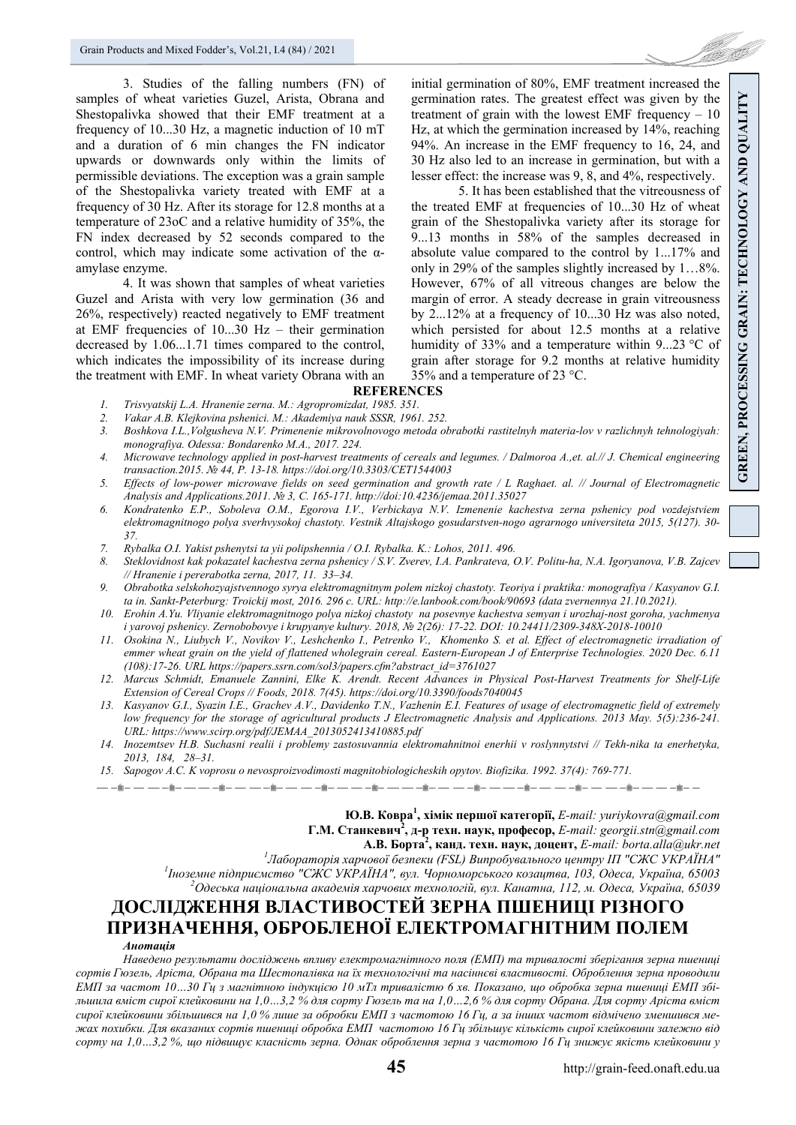3. Studies of the falling numbers (FN) of samples of wheat varieties Guzel, Arista, Obrana and Shestopalivka showed that their EMF treatment at a frequency of 10...30 Hz, a magnetic induction of 10 mT and a duration of 6 min changes the FN indicator upwards or downwards only within the limits of permissible deviations. The exception was a grain sample of the Shestopalivka variety treated with EMF at a frequency of 30 Hz. After its storage for 12.8 months at a temperature of 23oC and a relative humidity of 35%, the FN index decreased by 52 seconds compared to the control, which may indicate some activation of the  $\alpha$ amylase enzyme.

4. It was shown that samples of wheat varieties Guzel and Arista with very low germination (36 and 26%, respectively) reacted negatively to EMF treatment at EMF frequencies of 10...30 Hz – their germination decreased by 1.06...1.71 times compared to the control, which indicates the impossibility of its increase during the treatment with EMF. In wheat variety Obrana with an initial germination of 80%, EMF treatment increased the germination rates. The greatest effect was given by the treatment of grain with the lowest EMF frequency  $-10$ Hz, at which the germination increased by 14%, reaching 94%. An increase in the EMF frequency to 16, 24, and 30 Hz also led to an increase in germination, but with a lesser effect: the increase was 9, 8, and 4%, respectively.

5. It has been established that the vitreousness of the treated EMF at frequencies of 10...30 Hz of wheat grain of the Shestopalivka variety after its storage for 9...13 months in 58% of the samples decreased in absolute value compared to the control by 1...17% and only in 29% of the samples slightly increased by 1…8%. However, 67% of all vitreous changes are below the margin of error. A steady decrease in grain vitreousness by 2...12% at a frequency of 10...30 Hz was also noted, which persisted for about 12.5 months at a relative humidity of 33% and a temperature within 9...23 °C of grain after storage for 9.2 months at relative humidity 35% and a temperature of 23 °C.

# **REFERENCES**

- *1. Trisvyatskij L.A. Hranenie zerna. M.: Agropromizdat, 1985. 351.*
- *2. Vakar A.B. Klejkovina pshenici. M.: Akademiya nauk SSSR, 1961. 252.*
- *3. Boshkova I.L.,Volgusheva N.V. Primenenie mikrovolnovogo metoda obrabotki rastitelnyh materia-lov v razlichnyh tehnologiyah: monografiya. Odessa: Bondarenko M.A., 2017. 224.*
- *4. Microwave technology applied in post-harvest treatments of cereals and legumes. / Dalmoroa A.,et. al.// J. Chemical engineering transaction.2015. № 44, P. 13-18. https://doi.org/10.3303/CET1544003*
- *5. Effects of low-power microwave fields on seed germination and growth rate / L Raghaet. al. // Journal of Electromagnetic Analysis and Applications.2011. № 3, С. 165-171. http://doi:10.4236/jemaa.2011.35027*
- *6. Kondratenko E.P., Soboleva O.M., Egorova I.V., Verbickaya N.V. Izmenenie kachestva zerna pshenicy pod vozdejstviem elektromagnitnogo polya sverhvysokoj chastoty. Vestnik Altajskogo gosudarstven-nogo agrarnogo universiteta 2015, 5(127). 30- 37.*
- *7. Rybalka O.I. Yakist pshenytsi ta yii polipshennia / O.I. Rybalka. K.: Lohos, 2011. 496.*
- *8. Steklovidnost kak pokazatel kachestva zerna pshenicy / S.V. Zverev, I.A. Pankrateva, O.V. Politu-ha, N.A. Igoryanova, V.B. Zajcev // Hranenie i pererabotka zerna, 2017, 11. 33–34.*
- *9. Obrabotka selskohozyajstvennogo syrya elektromagnitnym polem nizkoj chastoty. Teoriya i praktika: monografiya / Kasyanov G.I. ta in. Sankt-Peterburg: Troickij most, 2016. 296 c. URL: http://e.lanbook.com/book/90693 (data zvernennya 21.10.2021).*
- *10. Erohin A.Yu. Vliyanie elektromagnitnogo polya nizkoj chastoty na posevnye kachestva semyan i urozhaj-nost goroha, yachmenya i yarovoj pshenicy. Zernobobovye i krupyanye kultury. 2018, № 2(26): 17-22. DOI: 10.24411/2309-348Х-2018-10010*
- *11. Osokina N., Liubych V., Novikov V., Leshchenko I., Petrenko V., Khomenko S. et al. Effect of electromagnetic irradiation of emmer wheat grain on the yield of flattened wholegrain cereal. Eastern-European J of Enterprise Technologies. 2020 Dec. 6.11 (108):17-26. URL https://papers.ssrn.com/sol3/papers.cfm?abstract\_id=3761027*
- *12. Marcus Schmidt, Emanuele Zannini, Elke K. Arendt. Recent Advances in Physical Post-Harvest Treatments for Shelf-Life Extension of Cereal Crops // Foods, 2018. 7(45). https://doi.org/10.3390/foods7040045*
- *13. Kasyanov G.I., Syazin I.E., Grachev A.V., Davidenko T.N., Vazhenin E.I. Features of usage of electromagnetic field of extremely low frequency for the storage of agricultural products J Electromagnetic Analysis and Applications. 2013 May. 5(5):236-241. URL: https://www.scirp.org/pdf/JEMAA\_2013052413410885.pdf*
- *14. Inozemtsev H.B. Suchasni realii i problemy zastosuvannia elektromahnitnoi enerhii v roslynnytstvi // Tekh-nika ta enerhetyka, 2013, 184, 28–31.*
- *15. Sapogov A.C. K voprosu o nevosproizvodimosti magnitobiologicheskih opytov. Biofizika. 1992. 37(4): 769-771.*

**Ю.В. Ковра<sup>1</sup> , хімік першої категорії,** *Е-mail: yuriykovra@gmail.com*  **Г.М. Станкевич<sup>2</sup> , д-р техн. наук, професор,** *E-mail: georgii.stn@gmail.com* 

**А.В. Борта2 , канд. техн. наук, доцент,** *E-mail: borta.alla@ukr.net 1*

*Лабораторія харчової безпеки (FSL) Випробувального центру ІП "СЖС УКРАЇНА" 1*

*Іноземне підприємство "СЖС УКРАЇНА", вул. Чорноморського козацтва, 103, Одеса, Україна, 65003 2 Одеська національна академія харчових технологій, вул. Канатна, 112, м. Одеса, Україна, 65039* 

# **ДОСЛІДЖЕННЯ ВЛАСТИВОСТЕЙ ЗЕРНА ПШЕНИЦІ РІЗНОГО ПРИЗНАЧЕННЯ, ОБРОБЛЕНОЇ ЕЛЕКТРОМАГНІТНИМ ПОЛЕМ**  *Анотація*

*Наведено результати досліджень впливу електромагнітного поля (ЕМП) та тривалості зберігання зерна пшениці* сортів Гюзель, Аріста, Обрана та Шестопалівка на їх технологічні та насіннєві властивості. Оброблення зерна проводили ЕМП за частот 10...30 Гц з магнітною індукцією 10 мТл тривалістю 6 хв. Показано, що обробка зерна пшениці ЕМП збільшила вміст сирої клейковини на 1,0...3,2 % для сорту Гюзель та на 1,0...2,6 % для сорту Обрана. Для сорту Аріста вміст сирої клейковини збільшився на 1,0 % лише за обробки ЕМП з частотою 16 Гц, а за інших частот відмічено зменшився межах похибки. Для вказаних сортів пшениці обробка ЕМП частотою 16 Гц збільшує кількість сирої клейковини залежно від сорту на 1,0...3,2 %, що підвищує класність зерна. Однак оброблення зерна з частотою 16 Гц знижує якість клейковини у